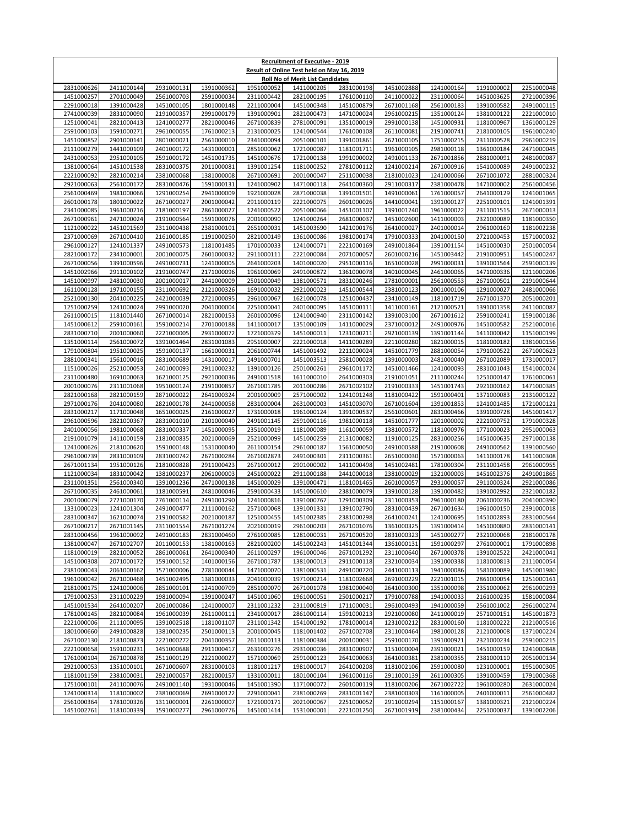| <b>Recruitment of Executive - 2019</b><br>Result of Online Test held on May 16, 2019 |                          |                          |                          |                          |                                         |                          |                          |                          |                          |                          |  |
|--------------------------------------------------------------------------------------|--------------------------|--------------------------|--------------------------|--------------------------|-----------------------------------------|--------------------------|--------------------------|--------------------------|--------------------------|--------------------------|--|
|                                                                                      |                          |                          |                          |                          | <b>Roll No of Merit List Candidates</b> |                          |                          |                          |                          |                          |  |
| 2831000626<br>1451000257                                                             | 2411000144<br>2701000049 | 2931000131<br>2561000703 | 1391000362<br>2591000034 | 1951000052<br>2311000442 | 1411000205<br>2821000195                | 2831000198               | 1451002888               | 1241000164<br>2311000064 | 1191000002               | 2251000048<br>2721000396 |  |
| 2291000018                                                                           | 1391000428               | 1451000105               | 1801000148               | 2211000004               | 1451000348                              | 1761000110<br>1451000879 | 2411000022<br>2671001168 | 2561000183               | 1451003625<br>1391000582 | 2491000115               |  |
| 2741000039                                                                           | 2831000090               | 2191000357               | 2991000179               | 1391000901               | 2821000473                              | 1471000024               | 2961000215               | 1351000124               | 1381000122               | 2221000010               |  |
| 1251000041                                                                           | 2821000413               | 1241000277               | 2821000046               | 2671000839               | 2781000091                              | 1351000019               | 2991000138               | 1451000931               | 1181000967               | 1361000129               |  |
| 2591000103                                                                           | 1591000271<br>2901000141 | 2961000055               | 1761000213               | 2131000025               | 1241000544                              | 1761000108               | 2611000081               | 2191000741<br>1751000215 | 2181000105<br>2311000528 | 1961000240<br>2961000219 |  |
| 1451000852<br>2111000279                                                             | 1441000109               | 2801000021<br>2401000172 | 2561000010<br>1431000001 | 2341000094<br>2851000062 | 2051000101<br>1721000087                | 1391001861<br>1181001711 | 2621000105<br>1961000105 | 2981000118               | 1361000184               | 2471000045               |  |
| 2431000053                                                                           | 2951000105               | 2591000172               | 1451001735               | 1451000676               | 1721000138                              | 1991000002               | 2491001133               | 2671001856               | 2881000091               | 2481000087               |  |
| 1381000064                                                                           | 1451001538               | 2831000375               | 2011000081               | 1391001254               | 1181000252                              | 2781000112               | 1241000214               | 2671000916               | 1541000089               | 2491000232               |  |
| 2221000092<br>2921000063                                                             | 2821000214<br>2561000172 | 2381000068<br>2831000476 | 1381000008<br>1591000131 | 2671000691<br>1241000902 | 2001000047<br>1471000118                | 2511000038<br>2641000360 | 2181001023               | 1241000066<br>2381000478 | 2671001072<br>1471000002 | 2881000324<br>2561000456 |  |
| 2561000469                                                                           | 1981000066               | 1291000254               | 2941000009               | 1921000028               | 2871000038                              | 1391001501               | 2911000317<br>1491000061 | 1761000057               | 2641000129               | 1241001065               |  |
| 2601000178                                                                           | 1801000022               | 2671000027               | 2001000042               | 2911000119               | 2221000075                              | 2601000026               | 1441000041               | 1391000127               | 2251000101               | 1241001391               |  |
| 2341000085                                                                           | 1961000216               | 2181000197               | 2861000027               | 1241000522               | 2051000066                              | 1451001107               | 1391001240               | 1961000022               | 2311001515               | 2671000013               |  |
| 2671000961<br>1121000022                                                             | 2471000024<br>1451001569 | 2191000564<br>2311000438 | 1591000076<br>2381000101 | 2001000090<br>2651000031 | 1241000264<br>1451003690                | 2681000037<br>1421000176 | 1451002600<br>2641000027 | 1411000003<br>2401000014 | 2321000089<br>2961000160 | 1181000350<br>1181002238 |  |
| 2371000069                                                                           | 2671000410               | 2161000185               | 1191000250               | 2821000149               | 1361000086                              | 1981000174               | 1791000333               | 2041000150               | 2721000453               | 1571000032               |  |
| 2961000127                                                                           | 1241001337               | 2491000573               | 1181001485               | 1701000033               | 1241000071                              | 2221000169               | 2491001864               | 1391001154               | 1451000030               | 2501000054               |  |
| 2821000172                                                                           | 2341000001               | 2001000075               | 2601000032               | 2911000111               | 2221000084                              | 2071000057               | 2601000216               | 1451003442               | 2191000951               | 1451000247               |  |
| 2671000056                                                                           | 1391000596               | 2491000731               | 1241000005               | 2641000203               | 1401000020                              | 2951000116               | 1651000028               | 2991000031               | 1391001564               | 2591000139               |  |
| 1451002966<br>1451000997                                                             | 2911000102<br>2481000030 | 2191000747<br>2001000017 | 2171000096<br>2441000009 | 1961000069<br>2501000049 | 2491000872<br>1381000571                | 1361000078<br>2831000246 | 1401000045<br>2781000001 | 2461000065<br>2561000553 | 1471000336<br>2671000501 | 1211000206<br>2191000644 |  |
| 1611000128                                                                           | 1971000155               | 2311000692               | 2121000326               | 1691000032               | 2921000023                              | 1451000544               | 2381000123               | 2001000106               | 1291000027               | 2481000066               |  |
| 2521000130                                                                           | 2041000225               | 2421000039               | 2721000095               | 2961000067               | 1621000078                              | 1251000437               | 2341000149               | 1181001719               | 2671001370               | 2051000201               |  |
| 1251000259                                                                           | 1241000024               | 2991000020               | 2041000004               | 2251000041               | 2401000095                              | 1451000111               | 1411000161               | 2121000521               | 1391001358               | 2411000087               |  |
| 2611000015                                                                           | 1181001440               | 2671000014               | 2821000153               | 2601000096<br>1411000017 | 1241000940                              | 2311000142<br>1411000029 | 1391003100               | 2671001612<br>2491000976 | 2591000241<br>1451000582 | 1591000186<br>2521000016 |  |
| 1451000612<br>2831000710                                                             | 2591000161<br>2001000060 | 1591000214<br>2221000005 | 2701000188<br>2931000072 | 1721000379               | 1351000109<br>1451000011                | 1231000211               | 2371000012<br>2921000139 | 1391001144               | 1411000042               | 1151000199               |  |
| 1351000114                                                                           | 2561000072               | 1391001464               | 2831001083               | 2951000007               | 2221000018                              | 1411000289               | 2211000280               | 1821000015               | 1181000182               | 1381000156               |  |
| 1791000804                                                                           | 1951000025               | 1591000137               | 1661000031               | 2061000744               | 1451001492                              | 2211000024               | 1451001779               | 2881000054               | 1791000522               | 2671000623               |  |
| 2881000341                                                                           | 1561000016               | 2831000689               | 1431000017               | 2491000701               | 1451003513                              | 2581000028               | 1391000003               | 2481000040               | 2671002089               | 1731000017               |  |
| 1151000026<br>2311000480                                                             | 2521000053<br>1691000063 | 2401000093<br>1621000125 | 2911000232<br>2921000036 | 1391000126<br>2491001518 | 2501000261<br>1611000010                | 2961001172<br>2641000303 | 1451001466<br>2191001051 | 1241000093<br>2111000244 | 2831001043<br>1251000147 | 1541000024<br>1761000061 |  |
| 2001000076                                                                           | 2311001068               | 1951000124               | 2191000857               | 2671001785               | 2011000286                              | 2671002102               | 2191000333               | 1451001743               | 2921000162               | 1471000385               |  |
| 2821000168                                                                           | 2821000159               | 2871000022               | 2641000324               | 2001000009               | 2571000002                              | 1241001248               | 1181000422               | 1591000401               | 1371000083               | 2131000122               |  |
| 2971000176                                                                           | 2041000080               | 2821000178               | 2441000058               | 2831000004               | 2631000003                              | 1451003070               | 2671001604               | 1391001853               | 1241001485               | 1721000121               |  |
| 2831000217<br>2961000596                                                             | 1171000048<br>2821000367 | 1651000025<br>2831001010 | 2161000027<br>2101000040 | 1731000018<br>2491001145 | 1961000124<br>2591000116                | 1391000537<br>1981000118 | 2561000601<br>1451001777 | 2831000466<br>1201000002 | 1391000728<br>2221000752 | 1451001417<br>1791000328 |  |
| 2401000056                                                                           | 1981000068               | 2831000337               | 1451000095               | 2351000019               | 1181000089                              | 1161000059               | 1381000572               | 1181000976               | 1771000023               | 2951000063               |  |
| 2191001079                                                                           | 1411000159               | 2181000835               | 2021000069               | 2521000099               | 1451000259                              | 2131000082               | 1191000125               | 2831000256               | 1451000635               | 2971000138               |  |
| 1241000626                                                                           | 2181000620               | 1591000148               | 1531000040               | 2611000154               | 2961000187                              | 1561000050               | 2491000588               | 2191000608               | 2491000562               | 1391000560               |  |
| 2961000739                                                                           | 2831000109               | 2831000742               | 2671000284               | 2671002873               | 2491000301<br>2901000002                | 2311000361               | 2651000030               | 1571000063               | 1411000178<br>2311001458 | 1411000308<br>2961000955 |  |
| 2671001134<br>1121000034                                                             | 1951000126<br>1831000042 | 2181000828<br>1381000237 | 2911000423<br>2061000003 | 2671000012<br>2451000022 | 2911000188                              | 1411000498<br>2441000018 | 1451002481<br>2381000029 | 1781000304<br>1321000003 | 1451002376               | 2491001865               |  |
| 2311001351                                                                           | 2561000340               | 1391001236               | 2471000138               | 1451000029               | 1391000471                              | 1181001465               | 2601000057               | 2931000057               | 2911000324               | 2921000086               |  |
| 2671000035                                                                           | 2461000061               | 1181000591               | 2481000046               | 2591000433               | 1451000610                              | 2381000079               | 1391000128               | 1391000482               | 1391002992               | 2321000182               |  |
| 2001000079                                                                           | 2721000170               | 2761000114               | 2491001290               | 1241000816               | 1391000767                              | 1291000309               | 2311000353               | 2961000180               | 2061000236               | 2041000390               |  |
| 1331000023<br>2831000347                                                             | 1241001304<br>1621000074 | 2491000477<br>2191000582 | 2111000162<br>2021000187 | 2571000068<br>1251000455 | 1391001331<br>1451002385                | 1391002790<br>2381000298 | 2831000439<br>2641000241 | 2671001634<br>1241000695 | 1961000150<br>1451002893 | 2391000018<br>2831000564 |  |
| 2671000217                                                                           | 2671001145               | 2311001554               | 2671001274               | 2021000019               | 2961000203                              | 2671001076               | 1361000325               | 1391000414               | 1451000880               | 2831000141               |  |
| 2831000456                                                                           | 1961000092               | 2491000183               | 2831000460               | 2761000085               | 1281000031                              | 2671000520               | 2831000323               | 1451000277               | 2321000068               | 2181000178               |  |
| 1381000047                                                                           | 2671002707               | 2011000153               | 1381000163               | 2821000200               | 1451002243                              | 1451001344               | 1361000131               | 1591000297               | 2761000001               | 1791000898               |  |
| 1181000019                                                                           | 2821000052               | 2861000061               | 2641000340               | 2611000297               | 1961000046                              | 2671001292               | 2311000640               | 2671000378               | 1391002522               | 2421000041               |  |
| 1451000308<br>2381000043                                                             | 2071000172<br>2061000162 | 1591000152<br>1571000006 | 1401000156<br>2781000044 | 2671001787<br>1471000070 | 1381000013<br>1381000531                | 2911000118<br>2491000720 | 2321000034<br>2441000113 | 1391000338<br>1941000086 | 1181000813<br>1581000089 | 2111000054<br>1451001980 |  |
| 1961000042                                                                           | 2671000468               | 1451002495               | 1381000033               | 2041000039               | 1971000214                              | 1181002668               | 2691000229               | 2221001015               | 2861000054               | 1251000161               |  |
| 2181000175                                                                           | 1241000006               | 2851000101               | 1241000709               | 2851000070               | 2671001078                              | 1981000040               | 2641000300               | 1351000098               | 2351000062               | 2961000293               |  |
| 1791000253                                                                           | 2311000229               | 1981000094               | 1391000247               | 1451001060               | 1961000051                              | 2501000217               | 1791000788               | 1941000033               | 2161000235               | 1581000084               |  |
| 1451001534<br>1781000145                                                             | 2641000207<br>2821000084 | 2061000086<br>1961000039 | 1241000007<br>2611000111 | 2311001232<br>2341000017 | 2311000819<br>2861000114                | 1711000031<br>1591000213 | 2961000493<br>2921000080 | 1941000059<br>2411000019 | 2561001002<br>2571000151 | 2961000274<br>1451001873 |  |
| 2221000006                                                                           | 2111000095               | 1391002518               | 1181001107               | 2311001342               | 1541000192                              | 1781000014               | 1231000212               | 2831000160               | 1181000222               | 2121000516               |  |
| 1801000660                                                                           | 2491000828               | 1381000235               | 2501000113               | 2001000045               | 1181001402                              | 2671002708               | 2311000464               | 1981000128               | 2121000008               | 1371000224               |  |
| 2671002130                                                                           | 2181000873               | 2221000272               | 2041000357               | 2611000113               | 1181000384                              | 2001000031               | 2591000170               | 1391000921               | 2321000234               | 2591000215               |  |
| 2221000658                                                                           | 1591000231               | 1451000688               | 2911000417               | 2631000276               | 2931000036                              | 2831000907               | 1151000004               | 2391000021               | 1451000159               | 1241000848               |  |
| 1761000104<br>2921000053                                                             | 2671000878<br>1351000101 | 2511000129<br>2671000607 | 2221000027<br>2831000103 | 1571000069<br>1181001217 | 2591000123<br>1981000017                | 2641000063<br>2641000208 | 2641000381<br>1181002106 | 2381000355<br>2591000080 | 2381000110<br>1231000001 | 2051000134<br>1951000305 |  |
| 1181001159                                                                           | 2381000031               | 2921000057               | 2821000157               | 1331000011               | 1801000104                              | 1961000116               | 2911000139               | 2611000305               | 1391000459               | 1791000368               |  |
| 1751000101                                                                           | 2411000076               | 2491001140               | 1931000046               | 1451001390               | 1171000072                              | 2601000119               | 1181000206               | 2671002722               | 1961000280               | 2631000024               |  |
| 1241000314                                                                           | 1181000002               | 2381000069               | 2691000122               | 2291000041               | 2381000269                              | 2831001147               | 2381000303               | 1161000005               | 2401000011               | 2561000482               |  |
| 2561000364<br>1451002761                                                             | 1781000326<br>1181000339 | 1311000001<br>1591000277 | 2261000007<br>2961000776 | 1721000171<br>1451001414 | 2021000067<br>1531000001                | 2251000052<br>2221001250 | 2911000294<br>2671001919 | 1151000167<br>2381000434 | 1381000321<br>2251000037 | 2121000224<br>1391002206 |  |
|                                                                                      |                          |                          |                          |                          |                                         |                          |                          |                          |                          |                          |  |